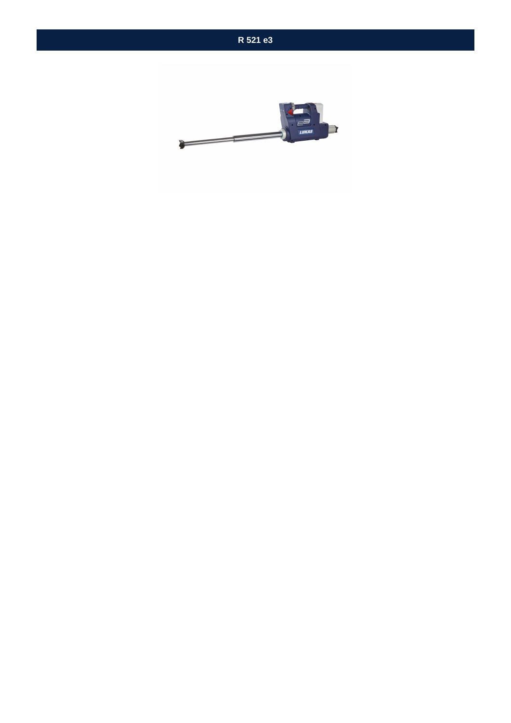

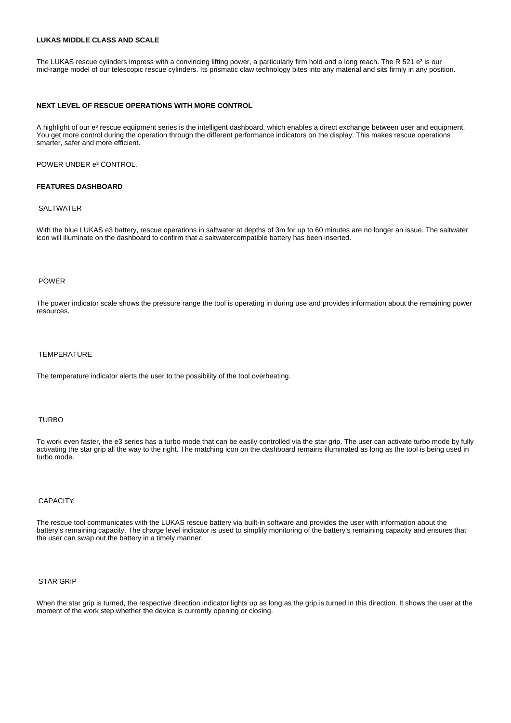## **LUKAS MIDDLE CLASS AND SCALE**

The LUKAS rescue cylinders impress with a convincing lifting power, a particularly firm hold and a long reach. The R 521 e<sup>3</sup> is our mid-range model of our telescopic rescue cylinders. Its prismatic claw technology bites into any material and sits firmly in any position.

#### **NEXT LEVEL OF RESCUE OPERATIONS WITH MORE CONTROL**

A highlight of our e<sup>3</sup> rescue equipment series is the intelligent dashboard, which enables a direct exchange between user and equipment. You get more control during the operation through the different performance indicators on the display. This makes rescue operations smarter, safer and more efficient.

# POWER UNDER e<sup>3</sup> CONTROL.

# **FEATURES DASHBOARD**

#### SAI TWATER

With the blue LUKAS e3 battery, rescue operations in saltwater at depths of 3m for up to 60 minutes are no longer an issue. The saltwater icon will illuminate on the dashboard to confirm that a saltwatercompatible battery has been inserted.

#### POWER

The power indicator scale shows the pressure range the tool is operating in during use and provides information about the remaining power resources.

#### **TEMPERATURE**

The temperature indicator alerts the user to the possibility of the tool overheating.

#### TURBO

To work even faster, the e3 series has a turbo mode that can be easily controlled via the star grip. The user can activate turbo mode by fully activating the star grip all the way to the right. The matching icon on the dashboard remains illuminated as long as the tool is being used in turbo mode.

## **CAPACITY**

The rescue tool communicates with the LUKAS rescue battery via built-in software and provides the user with information about the battery's remaining capacity. The charge level indicator is used to simplify monitoring of the battery's remaining capacity and ensures that the user can swap out the battery in a timely manner.

# STAR GRIP

When the star grip is turned, the respective direction indicator lights up as long as the grip is turned in this direction. It shows the user at the moment of the work step whether the device is currently opening or closing.